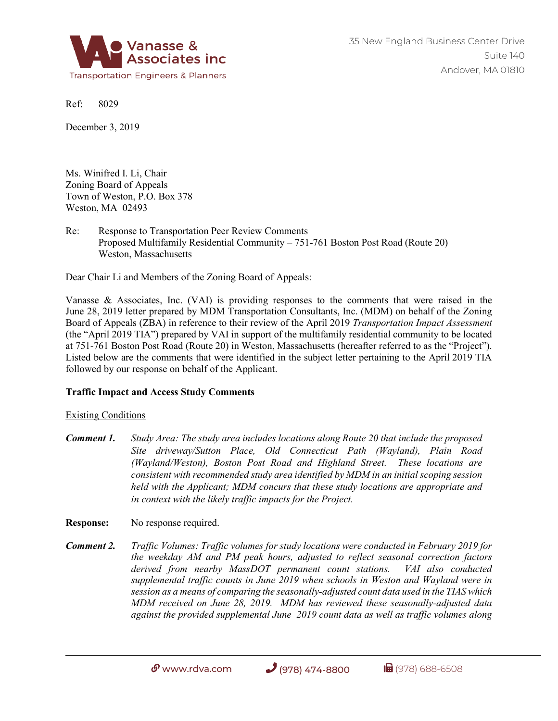

Ref: 8029

December 3, 2019

Ms. Winifred I. Li, Chair Zoning Board of Appeals Town of Weston, P.O. Box 378 Weston, MA 02493

Re: Response to Transportation Peer Review Comments Proposed Multifamily Residential Community – 751-761 Boston Post Road (Route 20) Weston, Massachusetts

Dear Chair Li and Members of the Zoning Board of Appeals:

Vanasse & Associates, Inc. (VAI) is providing responses to the comments that were raised in the June 28, 2019 letter prepared by MDM Transportation Consultants, Inc. (MDM) on behalf of the Zoning Board of Appeals (ZBA) in reference to their review of the April 2019 *Transportation Impact Assessment* (the "April 2019 TIA") prepared by VAI in support of the multifamily residential community to be located at 751-761 Boston Post Road (Route 20) in Weston, Massachusetts (hereafter referred to as the "Project"). Listed below are the comments that were identified in the subject letter pertaining to the April 2019 TIA followed by our response on behalf of the Applicant.

## **Traffic Impact and Access Study Comments**

## Existing Conditions

*Comment 1. Study Area: The study area includes locations along Route 20 that include the proposed Site driveway/Sutton Place, Old Connecticut Path (Wayland), Plain Road (Wayland/Weston), Boston Post Road and Highland Street. These locations are consistent with recommended study area identified by MDM in an initial scoping session held with the Applicant; MDM concurs that these study locations are appropriate and in context with the likely traffic impacts for the Project.*

**Response:** No response required.

*Comment 2. Traffic Volumes: Traffic volumes for study locations were conducted in February 2019 for the weekday AM and PM peak hours, adjusted to reflect seasonal correction factors derived from nearby MassDOT permanent count stations. VAI also conducted supplemental traffic counts in June 2019 when schools in Weston and Wayland were in session as a means of comparing the seasonally-adjusted count data used in the TIAS which MDM received on June 28, 2019. MDM has reviewed these seasonally-adjusted data against the provided supplemental June 2019 count data as well as traffic volumes along* 

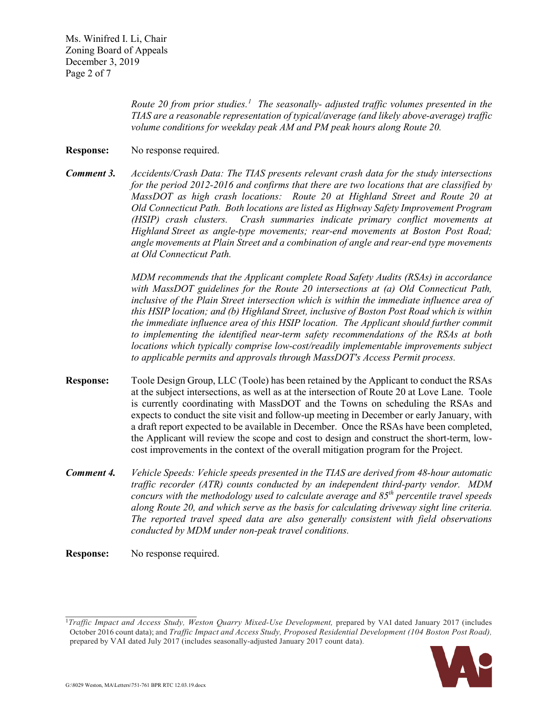*Route 20 from prior studies. [1](#page-1-0) The seasonally- adjusted traffic volumes presented in the TIAS are a reasonable representation of typical/average (and likely above-average) traffic volume conditions for weekday peak AM and PM peak hours along Route 20.*

- **Response:** No response required.
- *Comment 3. Accidents/Crash Data: The TIAS presents relevant crash data for the study intersections for the period 2012-2016 and confirms that there are two locations that are classified by MassDOT as high crash locations: Route 20 at Highland Street and Route 20 at Old Connecticut Path. Both locations are listed as Highway Safety Improvement Program (HSIP) crash clusters. Crash summaries indicate primary conflict movements at Highland Street as angle-type movements; rear-end movements at Boston Post Road; angle movements at Plain Street and a combination of angle and rear-end type movements at Old Connecticut Path.*

*MDM recommends that the Applicant complete Road Safety Audits (RSAs) in accordance with MassDOT guidelines for the Route 20 intersections at (a) Old Connecticut Path, inclusive of the Plain Street intersection which is within the immediate influence area of this HSIP location; and (b) Highland Street, inclusive of Boston Post Road which is within the immediate influence area of this HSIP location. The Applicant should further commit to implementing the identified near-term safety recommendations of the RSAs at both locations which typically comprise low-cost/readily implementable improvements subject to applicable permits and approvals through MassDOT's Access Permit process.*

- **Response:** Toole Design Group, LLC (Toole) has been retained by the Applicant to conduct the RSAs at the subject intersections, as well as at the intersection of Route 20 at Love Lane. Toole is currently coordinating with MassDOT and the Towns on scheduling the RSAs and expects to conduct the site visit and follow-up meeting in December or early January, with a draft report expected to be available in December. Once the RSAs have been completed, the Applicant will review the scope and cost to design and construct the short-term, lowcost improvements in the context of the overall mitigation program for the Project.
- *Comment 4. Vehicle Speeds: Vehicle speeds presented in the TIAS are derived from 48-hour automatic traffic recorder (ATR) counts conducted by an independent third-party vendor. MDM concurs with the methodology used to calculate average and 85th percentile travel speeds along Route 20, and which serve as the basis for calculating driveway sight line criteria. The reported travel speed data are also generally consistent with field observations conducted by MDM under non-peak travel conditions.*

**Response:** No response required.

<span id="page-1-0"></span><sup>&</sup>lt;sup>1</sup>Traffic Impact and Access Study, Weston Quarry Mixed-Use Development, prepared by VAI dated January 2017 (includes October 2016 count data); and *Traffic Impact and Access Study, Proposed Residential Development (104 Boston Post Road),* prepared by VAI dated July 2017 (includes seasonally-adjusted January 2017 count data).

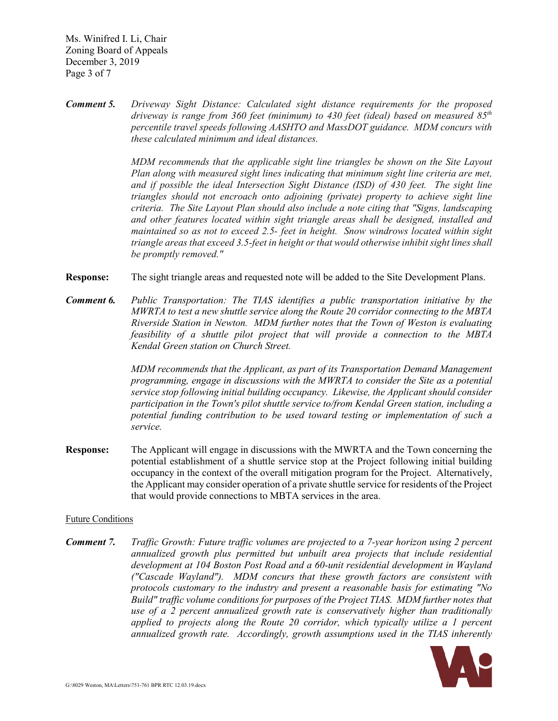Ms. Winifred I. Li, Chair Zoning Board of Appeals December 3, 2019 Page 3 of 7

*Comment 5. Driveway Sight Distance: Calculated sight distance requirements for the proposed driveway is range from 360 feet (minimum) to 430 feet (ideal) based on measured 85th percentile travel speeds following AASHTO and MassDOT guidance. MDM concurs with these calculated minimum and ideal distances.*

> *MDM recommends that the applicable sight line triangles be shown on the Site Layout Plan along with measured sight lines indicating that minimum sight line criteria are met, and if possible the ideal Intersection Sight Distance (ISD) of 430 feet. The sight line triangles should not encroach onto adjoining (private) property to achieve sight line criteria. The Site Layout Plan should also include a note citing that "Signs, landscaping and other features located within sight triangle areas shall be designed, installed and maintained so as not to exceed 2.5- feet in height. Snow windrows located within sight triangle areas that exceed 3.5-feet in height or that would otherwise inhibit sight lines shall be promptly removed."*

**Response:** The sight triangle areas and requested note will be added to the Site Development Plans.

*Comment 6. Public Transportation: The TIAS identifies a public transportation initiative by the MWRTA to test a new shuttle service along the Route 20 corridor connecting to the MBTA Riverside Station in Newton. MDM further notes that the Town of Weston is evaluating feasibility of a shuttle pilot project that will provide a connection to the MBTA Kendal Green station on Church Street.*

> *MDM recommends that the Applicant, as part of its Transportation Demand Management programming, engage in discussions with the MWRTA to consider the Site as a potential service stop following initial building occupancy. Likewise, the Applicant should consider participation in the Town's pilot shuttle service to/from Kendal Green station, including a potential funding contribution to be used toward testing or implementation of such a service.*

**Response:** The Applicant will engage in discussions with the MWRTA and the Town concerning the potential establishment of a shuttle service stop at the Project following initial building occupancy in the context of the overall mitigation program for the Project. Alternatively, the Applicant may consider operation of a private shuttle service for residents of the Project that would provide connections to MBTA services in the area.

## Future Conditions

*Comment 7. Traffic Growth: Future traffic volumes are projected to a 7-year horizon using 2 percent annualized growth plus permitted but unbuilt area projects that include residential development at 104 Boston Post Road and a 60-unit residential development in Wayland ("Cascade Wayland"). MDM concurs that these growth factors are consistent with protocols customary to the industry and present a reasonable basis for estimating "No Build" traffic volume conditions for purposes of the Project TIAS. MDM further notes that use of a 2 percent annualized growth rate is conservatively higher than traditionally applied to projects along the Route 20 corridor, which typically utilize a 1 percent annualized growth rate. Accordingly, growth assumptions used in the TIAS inherently* 

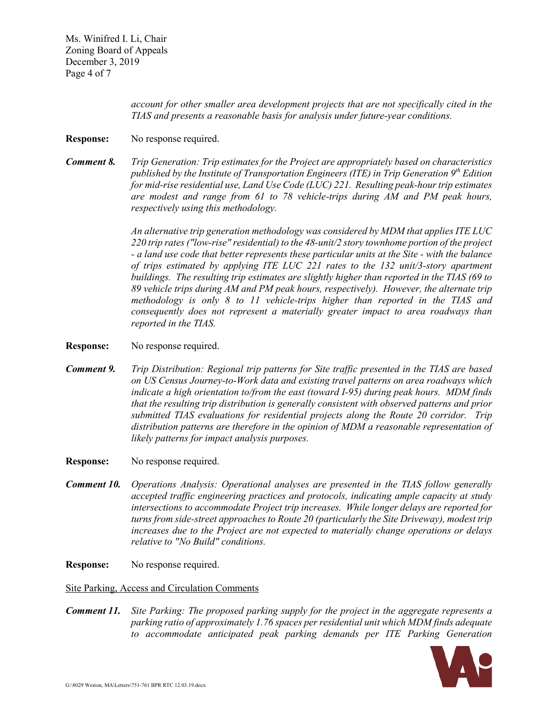*account for other smaller area development projects that are not specifically cited in the TIAS and presents a reasonable basis for analysis under future-year conditions.*

- **Response:** No response required.
- *Comment 8. Trip Generation: Trip estimates for the Project are appropriately based on characteristics published by the Institute of Transportation Engineers (ITE) in Trip Generation 9th Edition for mid-rise residential use, Land Use Code (LUC) 221. Resulting peak-hour trip estimates are modest and range from 61 to 78 vehicle-trips during AM and PM peak hours, respectively using this methodology.*

*An alternative trip generation methodology was considered by MDM that applies ITE LUC 220 trip rates ("low-rise" residential) to the 48-unit/2 story townhome portion of the project - a land use code that better represents these particular units at the Site - with the balance of trips estimated by applying ITE LUC 221 rates to the 132 unit/3-story apartment buildings. The resulting trip estimates are slightly higher than reported in the TIAS (69 to 89 vehicle trips during AM and PM peak hours, respectively). However, the alternate trip methodology is only 8 to 11 vehicle-trips higher than reported in the TIAS and consequently does not represent a materially greater impact to area roadways than reported in the TIAS.*

- **Response:** No response required.
- *Comment 9. Trip Distribution: Regional trip patterns for Site traffic presented in the TIAS are based on US Census Journey-to-Work data and existing travel patterns on area roadways which indicate a high orientation to/from the east (toward I-95) during peak hours. MDM finds that the resulting trip distribution is generally consistent with observed patterns and prior submitted TIAS evaluations for residential projects along the Route 20 corridor. Trip distribution patterns are therefore in the opinion of MDM a reasonable representation of likely patterns for impact analysis purposes.*
- **Response:** No response required.
- *Comment 10. Operations Analysis: Operational analyses are presented in the TIAS follow generally accepted traffic engineering practices and protocols, indicating ample capacity at study intersections to accommodate Project trip increases. While longer delays are reported for turns from side-street approaches to Route 20 (particularly the Site Driveway), modest trip increases due to the Project are not expected to materially change operations or delays relative to "No Build" conditions.*
- **Response:** No response required.

Site Parking, Access and Circulation Comments

*Comment 11. Site Parking: The proposed parking supply for the project in the aggregate represents a parking ratio of approximately 1.76 spaces per residential unit which MDM finds adequate to accommodate anticipated peak parking demands per ITE Parking Generation* 

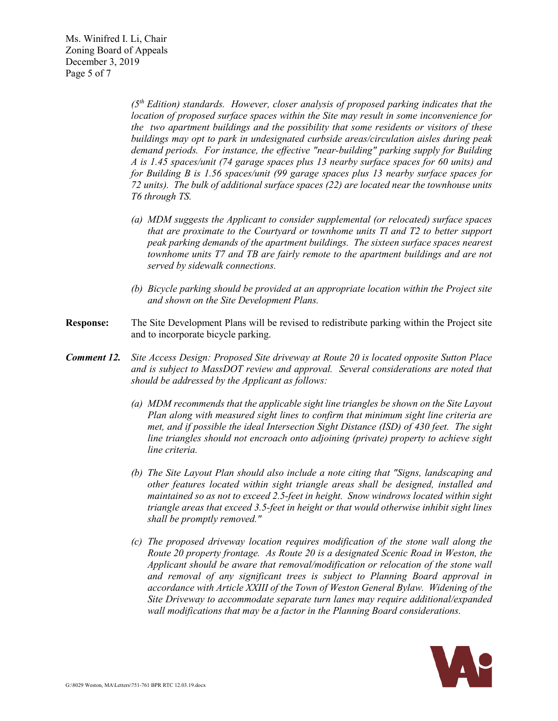*(5th Edition) standards. However, closer analysis of proposed parking indicates that the location of proposed surface spaces within the Site may result in some inconvenience for the two apartment buildings and the possibility that some residents or visitors of these buildings may opt to park in undesignated curbside areas/circulation aisles during peak demand periods. For instance, the effective "near-building" parking supply for Building A is 1.45 spaces/unit (74 garage spaces plus 13 nearby surface spaces for 60 units) and for Building B is 1.56 spaces/unit (99 garage spaces plus 13 nearby surface spaces for 72 units). The bulk of additional surface spaces (22) are located near the townhouse units T6 through TS.*

- *(a) MDM suggests the Applicant to consider supplemental (or relocated) surface spaces that are proximate to the Courtyard or townhome units Tl and T2 to better support peak parking demands of the apartment buildings. The sixteen surface spaces nearest townhome units T7 and TB are fairly remote to the apartment buildings and are not served by sidewalk connections.*
- *(b) Bicycle parking should be provided at an appropriate location within the Project site and shown on the Site Development Plans.*
- **Response:** The Site Development Plans will be revised to redistribute parking within the Project site and to incorporate bicycle parking.
- *Comment 12. Site Access Design: Proposed Site driveway at Route 20 is located opposite Sutton Place and is subject to MassDOT review and approval. Several considerations are noted that should be addressed by the Applicant as follows:*
	- *(a) MDM recommends that the applicable sight line triangles be shown on the Site Layout Plan along with measured sight lines to confirm that minimum sight line criteria are met, and if possible the ideal Intersection Sight Distance (ISD) of 430 feet. The sight line triangles should not encroach onto adjoining (private) property to achieve sight line criteria.*
	- *(b) The Site Layout Plan should also include a note citing that "Signs, landscaping and other features located within sight triangle areas shall be designed, installed and maintained so as not to exceed 2.5-feet in height. Snow windrows located within sight triangle areas that exceed 3.5-feet in height or that would otherwise inhibit sight lines shall be promptly removed."*
	- *(c) The proposed driveway location requires modification of the stone wall along the Route 20 property frontage. As Route 20 is a designated Scenic Road in Weston, the Applicant should be aware that removal/modification or relocation of the stone wall and removal of any significant trees is subject to Planning Board approval in accordance with Article XXIII of the Town of Weston General Bylaw. Widening of the Site Driveway to accommodate separate turn lanes may require additional/expanded wall modifications that may be a factor in the Planning Board considerations.*

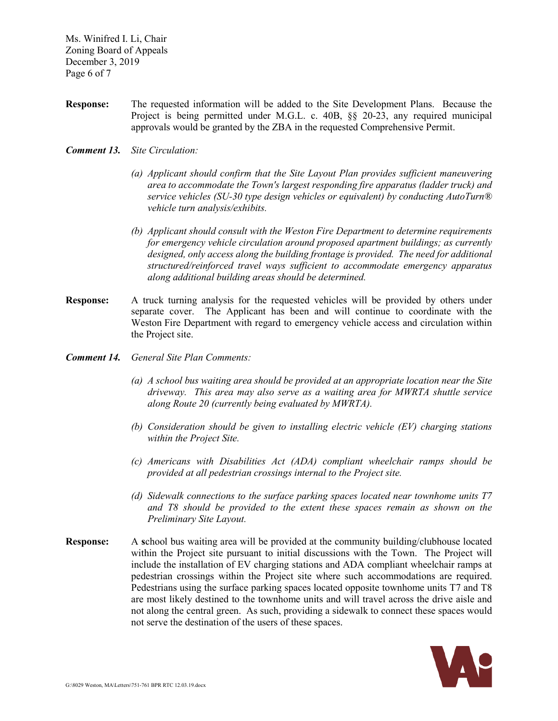Ms. Winifred I. Li, Chair Zoning Board of Appeals December 3, 2019 Page 6 of 7

- **Response:** The requested information will be added to the Site Development Plans. Because the Project is being permitted under M.G.L. c. 40B, §§ 20-23, any required municipal approvals would be granted by the ZBA in the requested Comprehensive Permit.
- *Comment 13. Site Circulation:*
	- *(a) Applicant should confirm that the Site Layout Plan provides sufficient maneuvering area to accommodate the Town's largest responding fire apparatus (ladder truck) and service vehicles (SU-30 type design vehicles or equivalent) by conducting AutoTurn® vehicle turn analysis/exhibits.*
	- *(b) Applicant should consult with the Weston Fire Department to determine requirements for emergency vehicle circulation around proposed apartment buildings; as currently designed, only access along the building frontage is provided. The need for additional structured/reinforced travel ways sufficient to accommodate emergency apparatus along additional building areas should be determined.*
- **Response:** A truck turning analysis for the requested vehicles will be provided by others under separate cover. The Applicant has been and will continue to coordinate with the Weston Fire Department with regard to emergency vehicle access and circulation within the Project site.
- *Comment 14. General Site Plan Comments:*
	- *(a) A school bus waiting area should be provided at an appropriate location near the Site driveway. This area may also serve as a waiting area for MWRTA shuttle service along Route 20 (currently being evaluated by MWRTA).*
	- *(b) Consideration should be given to installing electric vehicle (EV) charging stations within the Project Site.*
	- *(c) Americans with Disabilities Act (ADA) compliant wheelchair ramps should be provided at all pedestrian crossings internal to the Project site.*
	- *(d) Sidewalk connections to the surface parking spaces located near townhome units T7 and T8 should be provided to the extent these spaces remain as shown on the Preliminary Site Layout.*
- **Response:** A **s**chool bus waiting area will be provided at the community building/clubhouse located within the Project site pursuant to initial discussions with the Town. The Project will include the installation of EV charging stations and ADA compliant wheelchair ramps at pedestrian crossings within the Project site where such accommodations are required. Pedestrians using the surface parking spaces located opposite townhome units T7 and T8 are most likely destined to the townhome units and will travel across the drive aisle and not along the central green. As such, providing a sidewalk to connect these spaces would not serve the destination of the users of these spaces.